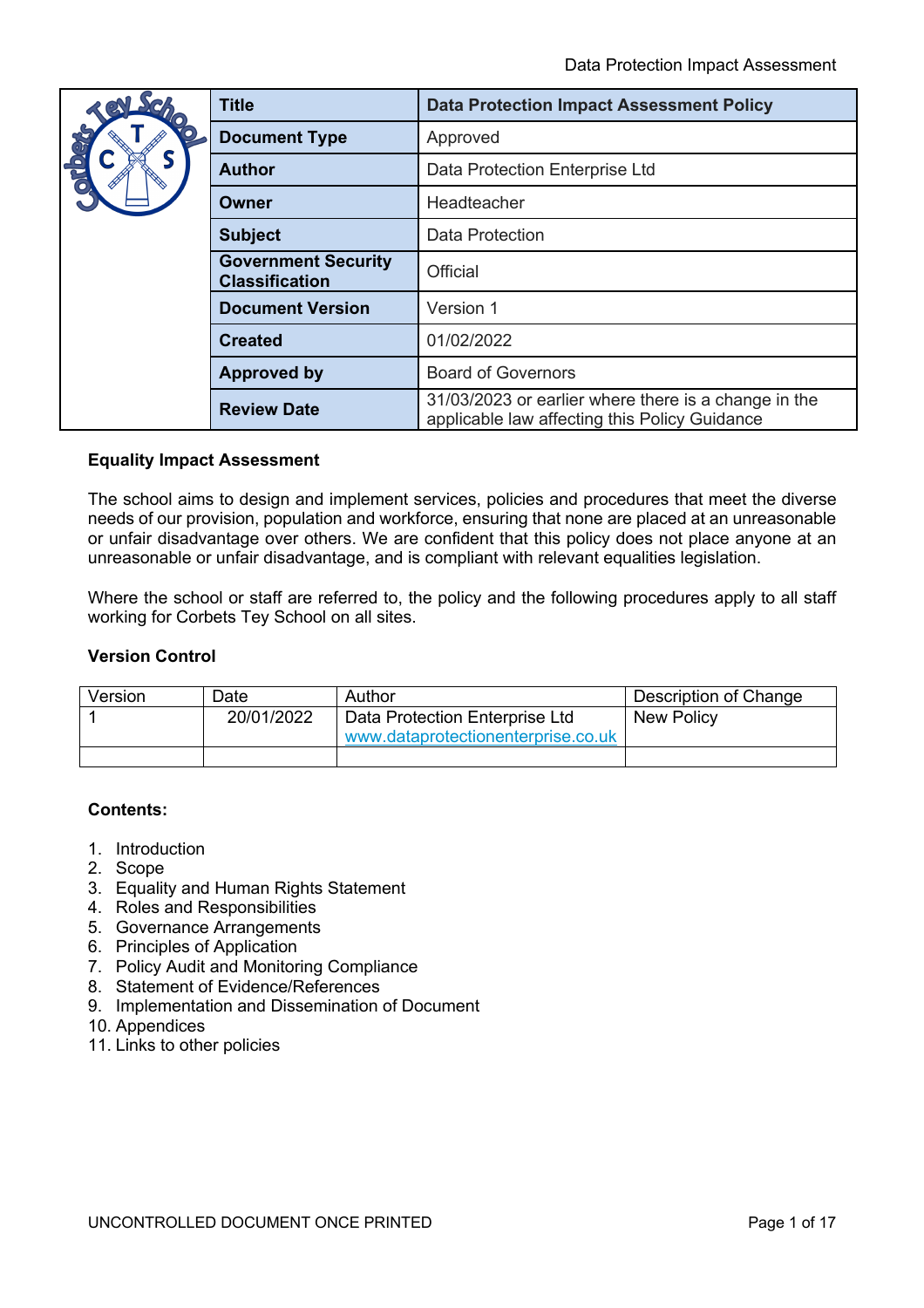|                                                                                                                                              | <b>Title</b>         | <b>Data Protection Impact Assessment Policy</b>                                                       |
|----------------------------------------------------------------------------------------------------------------------------------------------|----------------------|-------------------------------------------------------------------------------------------------------|
| $\frac{1}{2}$                                                                                                                                | <b>Document Type</b> | Approved                                                                                              |
|                                                                                                                                              | Author               | Data Protection Enterprise Ltd                                                                        |
|                                                                                                                                              | Owner                | Headteacher                                                                                           |
|                                                                                                                                              | <b>Subject</b>       | <b>Data Protection</b>                                                                                |
| <b>Government Security</b><br><b>Classification</b><br><b>Document Version</b><br><b>Created</b><br><b>Approved by</b><br><b>Review Date</b> |                      | Official                                                                                              |
|                                                                                                                                              |                      | Version 1                                                                                             |
|                                                                                                                                              |                      | 01/02/2022                                                                                            |
|                                                                                                                                              |                      | <b>Board of Governors</b>                                                                             |
|                                                                                                                                              |                      | 31/03/2023 or earlier where there is a change in the<br>applicable law affecting this Policy Guidance |

#### **Equality Impact Assessment**

The school aims to design and implement services, policies and procedures that meet the diverse needs of our provision, population and workforce, ensuring that none are placed at an unreasonable or unfair disadvantage over others. We are confident that this policy does not place anyone at an unreasonable or unfair disadvantage, and is compliant with relevant equalities legislation.

Where the school or staff are referred to, the policy and the following procedures apply to all staff working for Corbets Tey School on all sites.

#### **Version Control**

| Version | Date.      | Author                             | Description of Change |
|---------|------------|------------------------------------|-----------------------|
|         | 20/01/2022 | Data Protection Enterprise Ltd     | <b>New Policy</b>     |
|         |            | www.dataprotectionenterprise.co.uk |                       |
|         |            |                                    |                       |

# **Contents:**

- 1. Introduction
- 2. Scope
- 3. Equality and Human Rights Statement
- 4. Roles and Responsibilities
- 5. Governance Arrangements
- 6. Principles of Application
- 7. Policy Audit and Monitoring Compliance
- 8. Statement of Evidence/References
- 9. Implementation and Dissemination of Document
- 10. Appendices
- 11. Links to other policies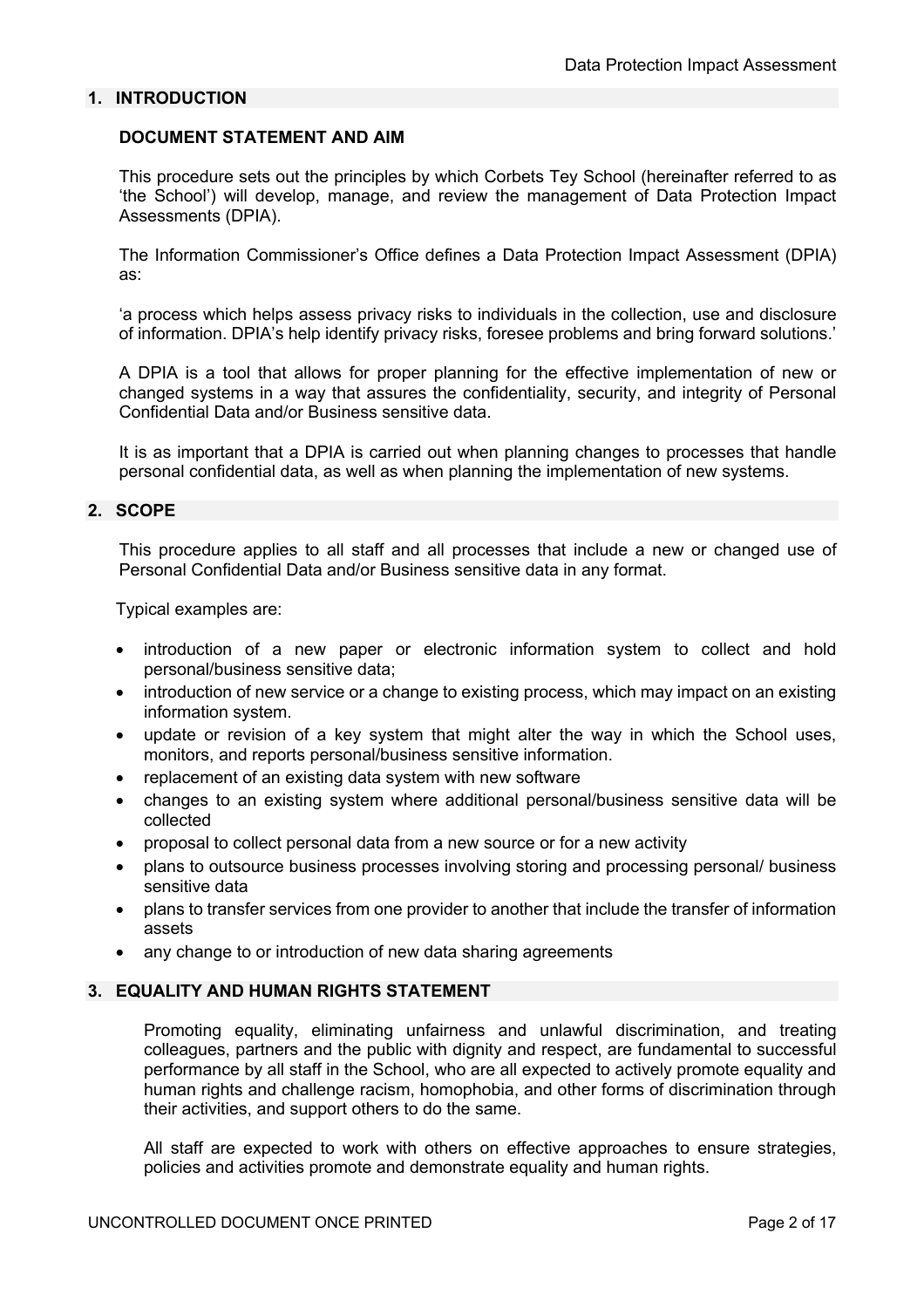## **1. INTRODUCTION**

#### **DOCUMENT STATEMENT AND AIM**

This procedure sets out the principles by which Corbets Tey School (hereinafter referred to as 'the School') will develop, manage, and review the management of Data Protection Impact Assessments (DPIA).

The Information Commissioner's Office defines a Data Protection Impact Assessment (DPIA) as:

'a process which helps assess privacy risks to individuals in the collection, use and disclosure of information. DPIA's help identify privacy risks, foresee problems and bring forward solutions.'

A DPIA is a tool that allows for proper planning for the effective implementation of new or changed systems in a way that assures the confidentiality, security, and integrity of Personal Confidential Data and/or Business sensitive data.

It is as important that a DPIA is carried out when planning changes to processes that handle personal confidential data, as well as when planning the implementation of new systems.

#### **2. SCOPE**

This procedure applies to all staff and all processes that include a new or changed use of Personal Confidential Data and/or Business sensitive data in any format.

Typical examples are:

- introduction of a new paper or electronic information system to collect and hold personal/business sensitive data;
- introduction of new service or a change to existing process, which may impact on an existing information system.
- update or revision of a key system that might alter the way in which the School uses, monitors, and reports personal/business sensitive information.
- replacement of an existing data system with new software
- changes to an existing system where additional personal/business sensitive data will be collected
- proposal to collect personal data from a new source or for a new activity
- plans to outsource business processes involving storing and processing personal/ business sensitive data
- plans to transfer services from one provider to another that include the transfer of information assets
- any change to or introduction of new data sharing agreements

#### **3. EQUALITY AND HUMAN RIGHTS STATEMENT**

Promoting equality, eliminating unfairness and unlawful discrimination, and treating colleagues, partners and the public with dignity and respect, are fundamental to successful performance by all staff in the School, who are all expected to actively promote equality and human rights and challenge racism, homophobia, and other forms of discrimination through their activities, and support others to do the same.

All staff are expected to work with others on effective approaches to ensure strategies, policies and activities promote and demonstrate equality and human rights.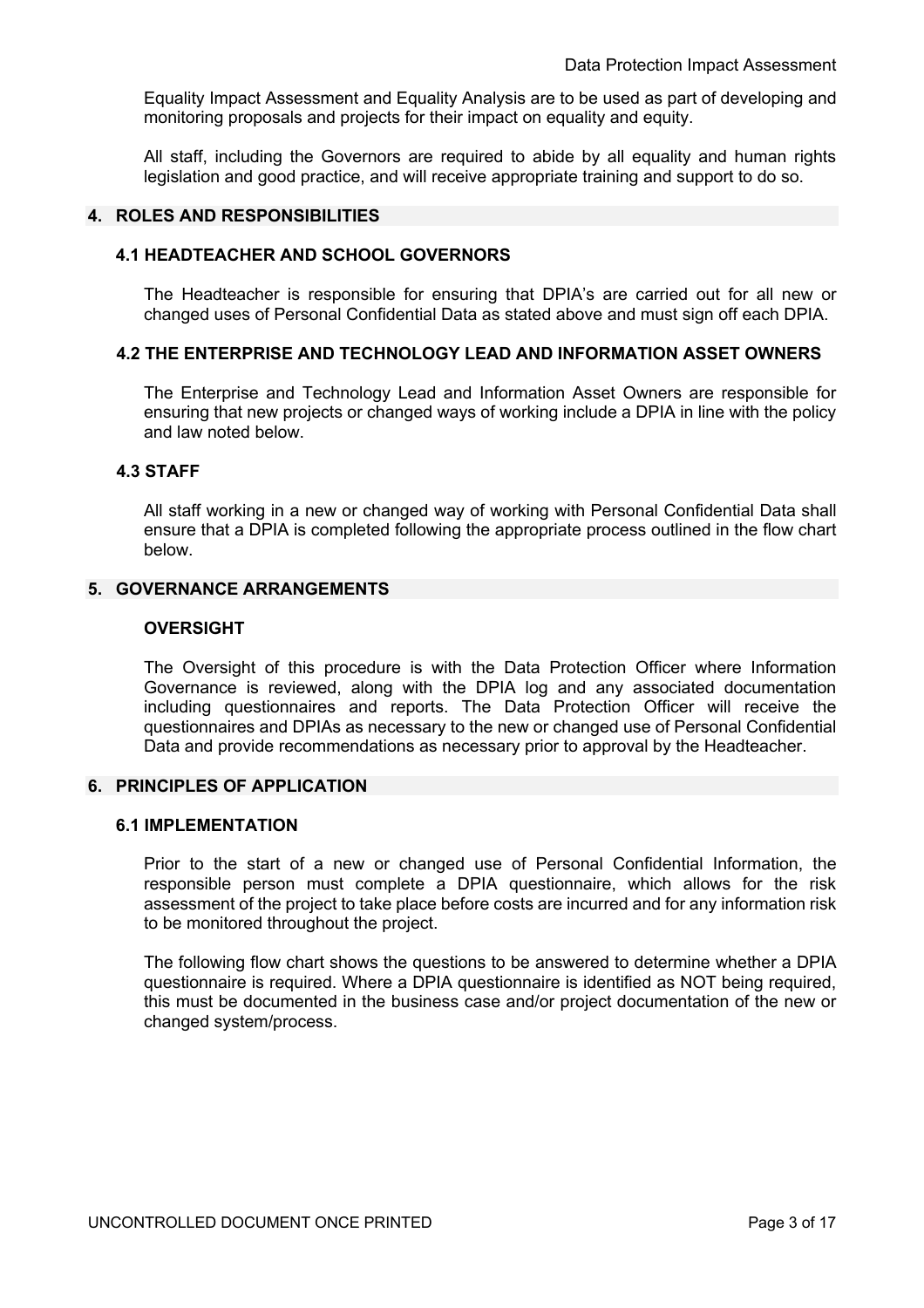Equality Impact Assessment and Equality Analysis are to be used as part of developing and monitoring proposals and projects for their impact on equality and equity.

All staff, including the Governors are required to abide by all equality and human rights legislation and good practice, and will receive appropriate training and support to do so.

#### **4. ROLES AND RESPONSIBILITIES**

#### **4.1 HEADTEACHER AND SCHOOL GOVERNORS**

The Headteacher is responsible for ensuring that DPIA's are carried out for all new or changed uses of Personal Confidential Data as stated above and must sign off each DPIA.

#### **4.2 THE ENTERPRISE AND TECHNOLOGY LEAD AND INFORMATION ASSET OWNERS**

The Enterprise and Technology Lead and Information Asset Owners are responsible for ensuring that new projects or changed ways of working include a DPIA in line with the policy and law noted below.

#### **4.3 STAFF**

All staff working in a new or changed way of working with Personal Confidential Data shall ensure that a DPIA is completed following the appropriate process outlined in the flow chart below.

#### **5. GOVERNANCE ARRANGEMENTS**

#### **OVERSIGHT**

The Oversight of this procedure is with the Data Protection Officer where Information Governance is reviewed, along with the DPIA log and any associated documentation including questionnaires and reports. The Data Protection Officer will receive the questionnaires and DPIAs as necessary to the new or changed use of Personal Confidential Data and provide recommendations as necessary prior to approval by the Headteacher.

#### **6. PRINCIPLES OF APPLICATION**

## **6.1 IMPLEMENTATION**

Prior to the start of a new or changed use of Personal Confidential Information, the responsible person must complete a DPIA questionnaire, which allows for the risk assessment of the project to take place before costs are incurred and for any information risk to be monitored throughout the project.

The following flow chart shows the questions to be answered to determine whether a DPIA questionnaire is required. Where a DPIA questionnaire is identified as NOT being required, this must be documented in the business case and/or project documentation of the new or changed system/process.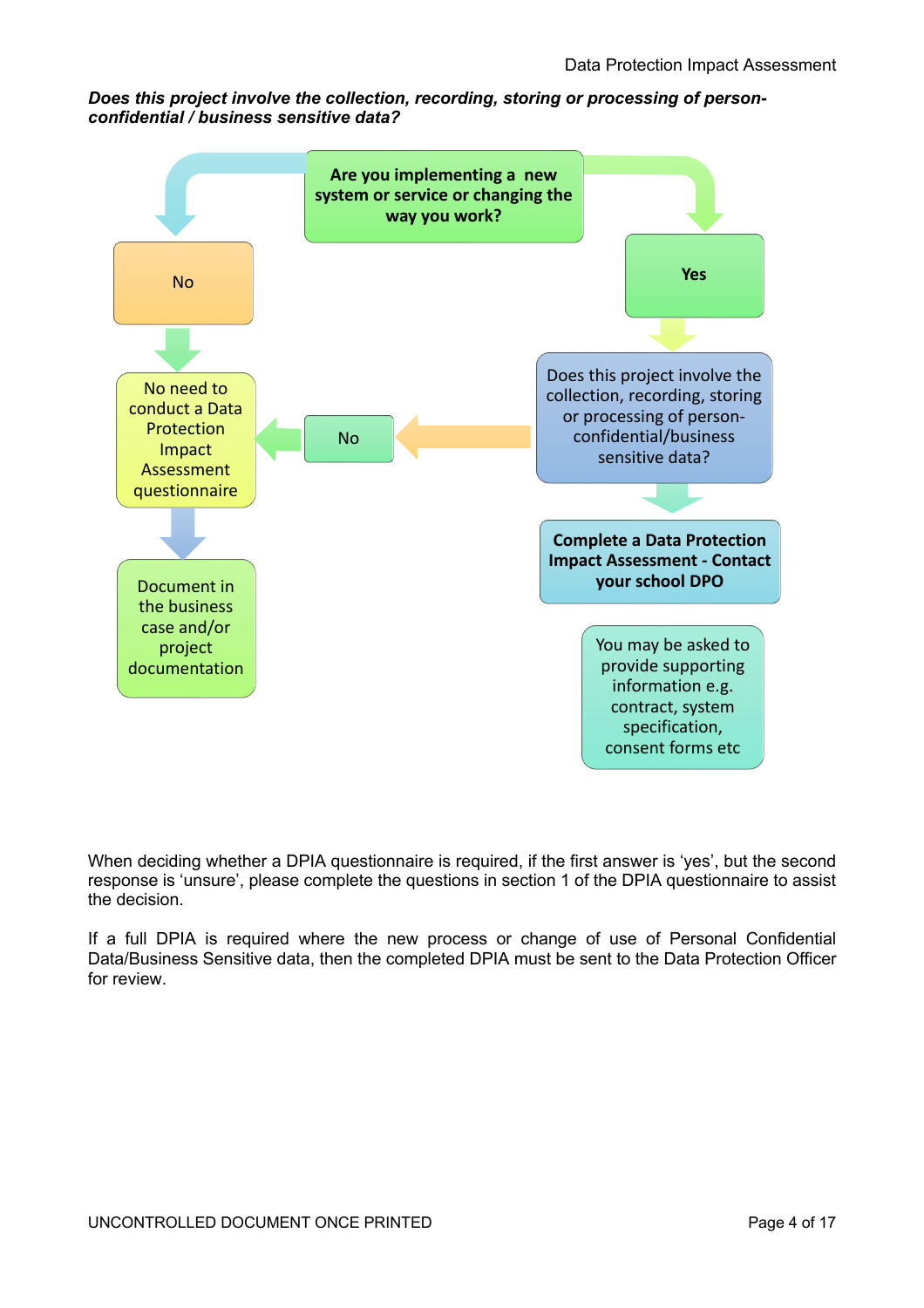# *Does this project involve the collection, recording, storing or processing of personconfidential / business sensitive data?*



When deciding whether a DPIA questionnaire is required, if the first answer is 'yes', but the second response is 'unsure', please complete the questions in section 1 of the DPIA questionnaire to assist the decision.

If a full DPIA is required where the new process or change of use of Personal Confidential Data/Business Sensitive data, then the completed DPIA must be sent to the Data Protection Officer for review.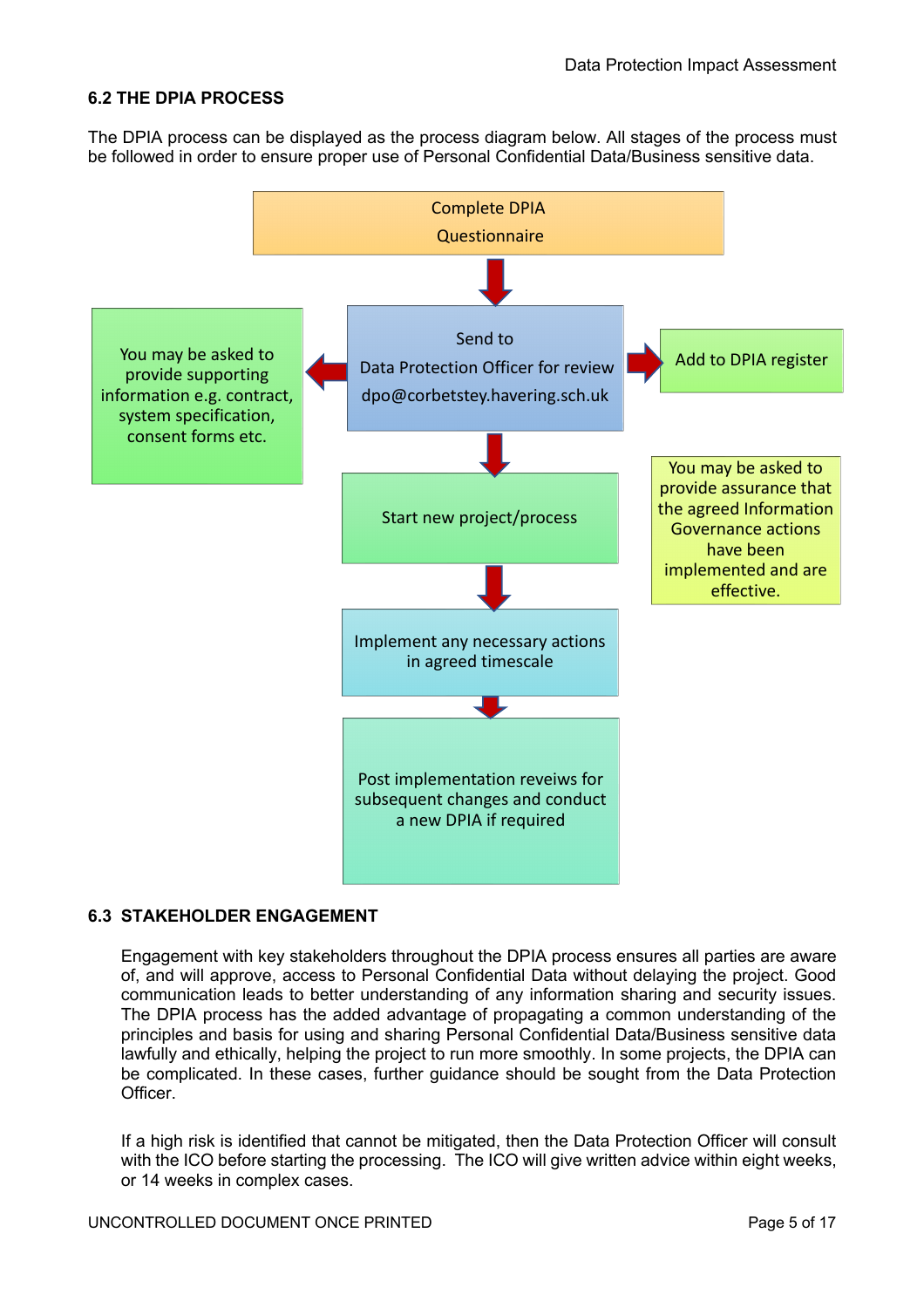# **6.2 THE DPIA PROCESS**

The DPIA process can be displayed as the process diagram below. All stages of the process must be followed in order to ensure proper use of Personal Confidential Data/Business sensitive data.



# **6.3 STAKEHOLDER ENGAGEMENT**

Engagement with key stakeholders throughout the DPIA process ensures all parties are aware of, and will approve, access to Personal Confidential Data without delaying the project. Good communication leads to better understanding of any information sharing and security issues. The DPIA process has the added advantage of propagating a common understanding of the principles and basis for using and sharing Personal Confidential Data/Business sensitive data lawfully and ethically, helping the project to run more smoothly. In some projects, the DPIA can be complicated. In these cases, further guidance should be sought from the Data Protection Officer.

If a high risk is identified that cannot be mitigated, then the Data Protection Officer will consult with the ICO before starting the processing. The ICO will give written advice within eight weeks, or 14 weeks in complex cases.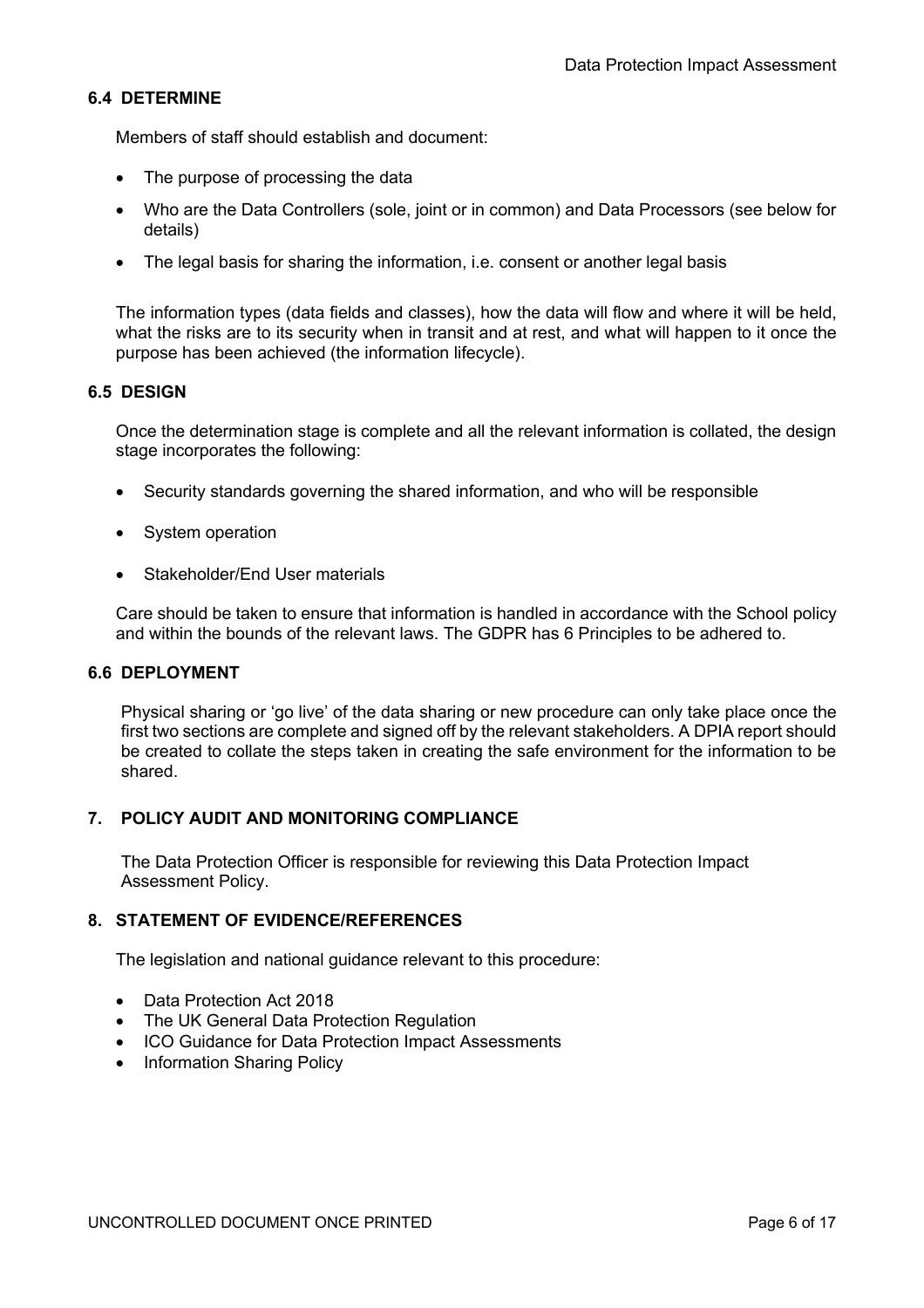# **6.4 DETERMINE**

Members of staff should establish and document:

- The purpose of processing the data
- Who are the Data Controllers (sole, joint or in common) and Data Processors (see below for details)
- The legal basis for sharing the information, i.e. consent or another legal basis

The information types (data fields and classes), how the data will flow and where it will be held, what the risks are to its security when in transit and at rest, and what will happen to it once the purpose has been achieved (the information lifecycle).

## **6.5 DESIGN**

Once the determination stage is complete and all the relevant information is collated, the design stage incorporates the following:

- Security standards governing the shared information, and who will be responsible
- System operation
- Stakeholder/End User materials

Care should be taken to ensure that information is handled in accordance with the School policy and within the bounds of the relevant laws. The GDPR has 6 Principles to be adhered to.

#### **6.6 DEPLOYMENT**

Physical sharing or 'go live' of the data sharing or new procedure can only take place once the first two sections are complete and signed off by the relevant stakeholders. A DPIA report should be created to collate the steps taken in creating the safe environment for the information to be shared.

#### **7. POLICY AUDIT AND MONITORING COMPLIANCE**

The Data Protection Officer is responsible for reviewing this Data Protection Impact Assessment Policy.

# **8. STATEMENT OF EVIDENCE/REFERENCES**

The legislation and national guidance relevant to this procedure:

- Data Protection Act 2018
- The UK General Data Protection Regulation
- ICO Guidance for Data Protection Impact Assessments
- Information Sharing Policy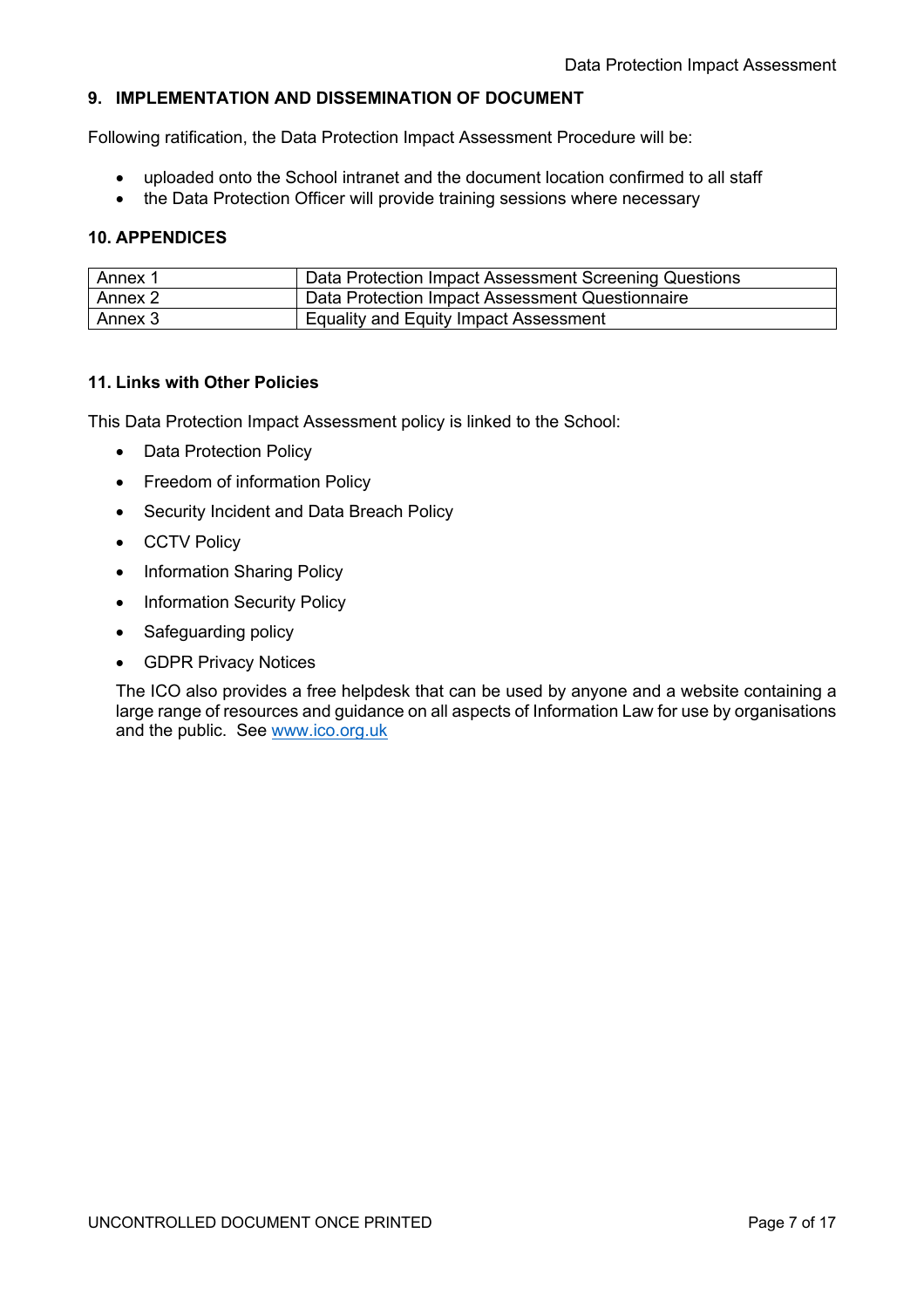# **9. IMPLEMENTATION AND DISSEMINATION OF DOCUMENT**

Following ratification, the Data Protection Impact Assessment Procedure will be:

- uploaded onto the School intranet and the document location confirmed to all staff
- the Data Protection Officer will provide training sessions where necessary

# **10. APPENDICES**

| Annex 1 | Data Protection Impact Assessment Screening Questions |
|---------|-------------------------------------------------------|
| Annex 2 | Data Protection Impact Assessment Questionnaire       |
| Annex 3 | <b>Equality and Equity Impact Assessment</b>          |

# **11. Links with Other Policies**

This Data Protection Impact Assessment policy is linked to the School:

- Data Protection Policy
- Freedom of information Policy
- Security Incident and Data Breach Policy
- CCTV Policy
- Information Sharing Policy
- Information Security Policy
- Safeguarding policy
- GDPR Privacy Notices

The ICO also provides a free helpdesk that can be used by anyone and a website containing a large range of resources and guidance on all aspects of Information Law for use by organisations and the public. See www.ico.org.uk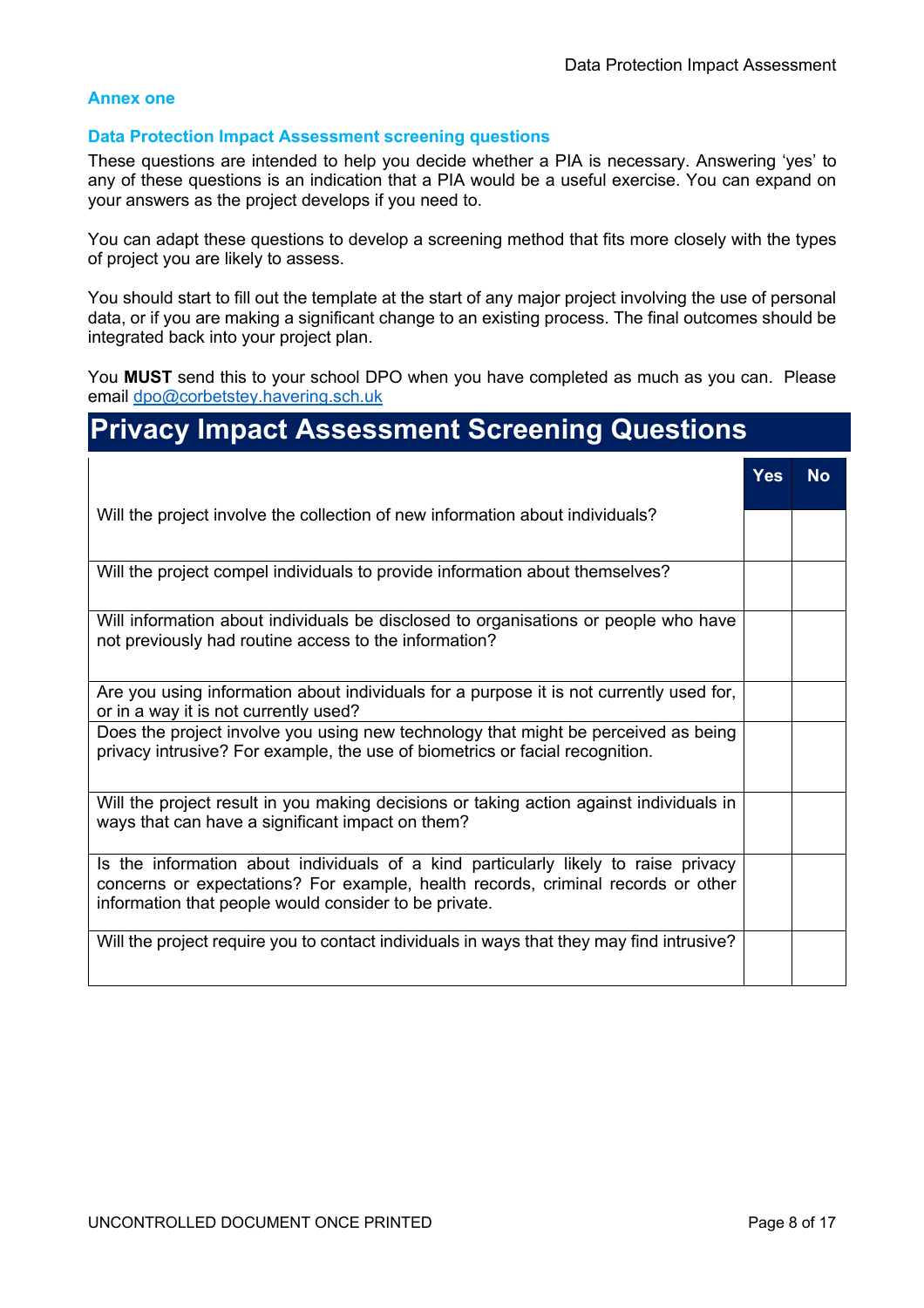#### **Annex one**

#### **Data Protection Impact Assessment screening questions**

These questions are intended to help you decide whether a PIA is necessary. Answering 'yes' to any of these questions is an indication that a PIA would be a useful exercise. You can expand on your answers as the project develops if you need to.

You can adapt these questions to develop a screening method that fits more closely with the types of project you are likely to assess.

You should start to fill out the template at the start of any major project involving the use of personal data, or if you are making a significant change to an existing process. The final outcomes should be integrated back into your project plan.

You **MUST** send this to your school DPO when you have completed as much as you can. Please email dpo@corbetstey.havering.sch.uk

# **Privacy Impact Assessment Screening Questions**

|                                                                                                                                                                                                                                  | Yes | <b>No</b> |
|----------------------------------------------------------------------------------------------------------------------------------------------------------------------------------------------------------------------------------|-----|-----------|
| Will the project involve the collection of new information about individuals?                                                                                                                                                    |     |           |
| Will the project compel individuals to provide information about themselves?                                                                                                                                                     |     |           |
| Will information about individuals be disclosed to organisations or people who have<br>not previously had routine access to the information?                                                                                     |     |           |
| Are you using information about individuals for a purpose it is not currently used for,<br>or in a way it is not currently used?                                                                                                 |     |           |
| Does the project involve you using new technology that might be perceived as being<br>privacy intrusive? For example, the use of biometrics or facial recognition.                                                               |     |           |
| Will the project result in you making decisions or taking action against individuals in<br>ways that can have a significant impact on them?                                                                                      |     |           |
| Is the information about individuals of a kind particularly likely to raise privacy<br>concerns or expectations? For example, health records, criminal records or other<br>information that people would consider to be private. |     |           |
| Will the project require you to contact individuals in ways that they may find intrusive?                                                                                                                                        |     |           |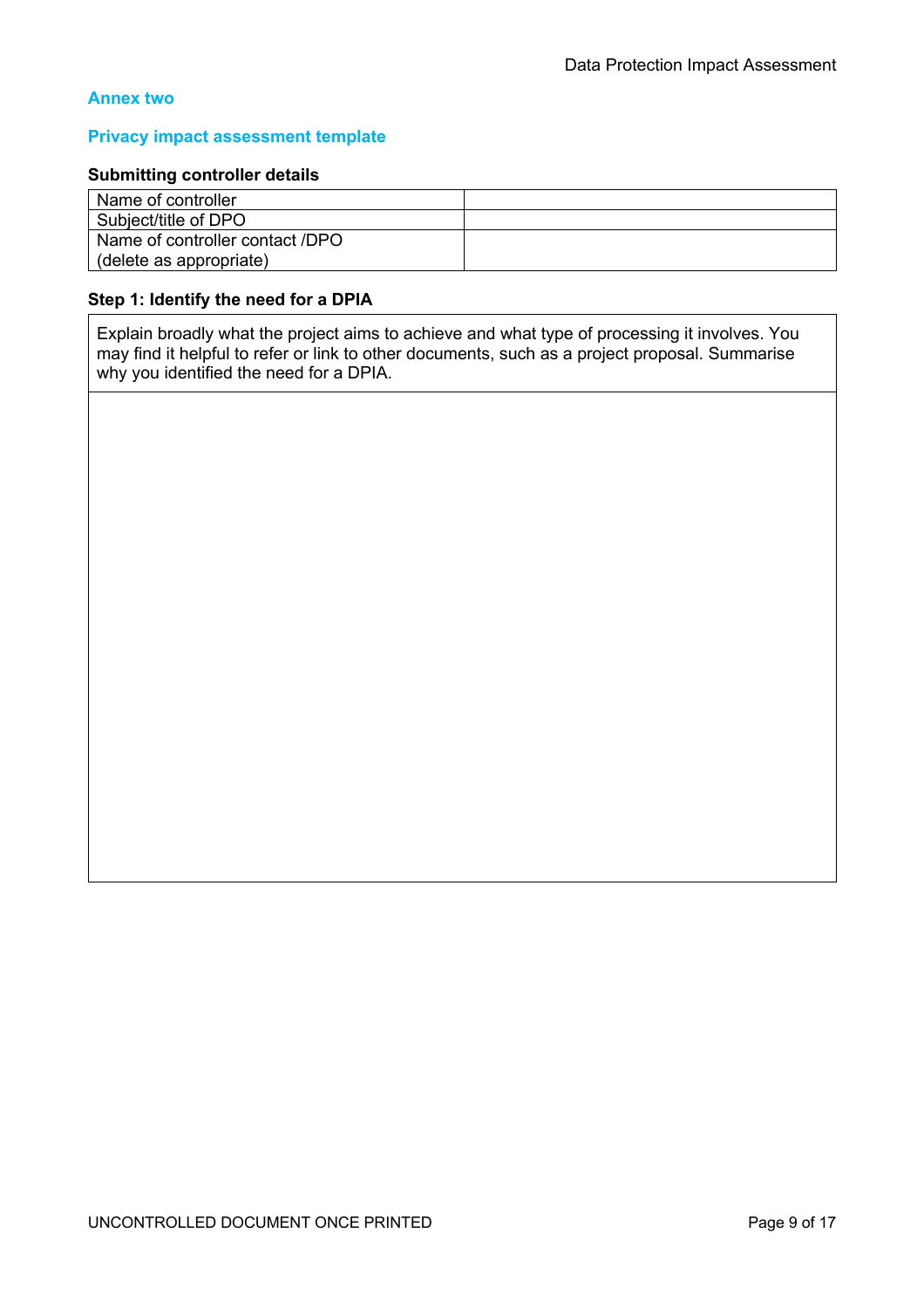# **Annex two**

#### **Privacy impact assessment template**

#### **Submitting controller details**

| Name of controller                |  |
|-----------------------------------|--|
| Subject/title of DPO              |  |
| l Name of controller contact /DPO |  |
| (delete as appropriate)           |  |

## **Step 1: Identify the need for a DPIA**

Explain broadly what the project aims to achieve and what type of processing it involves. You may find it helpful to refer or link to other documents, such as a project proposal. Summarise why you identified the need for a DPIA.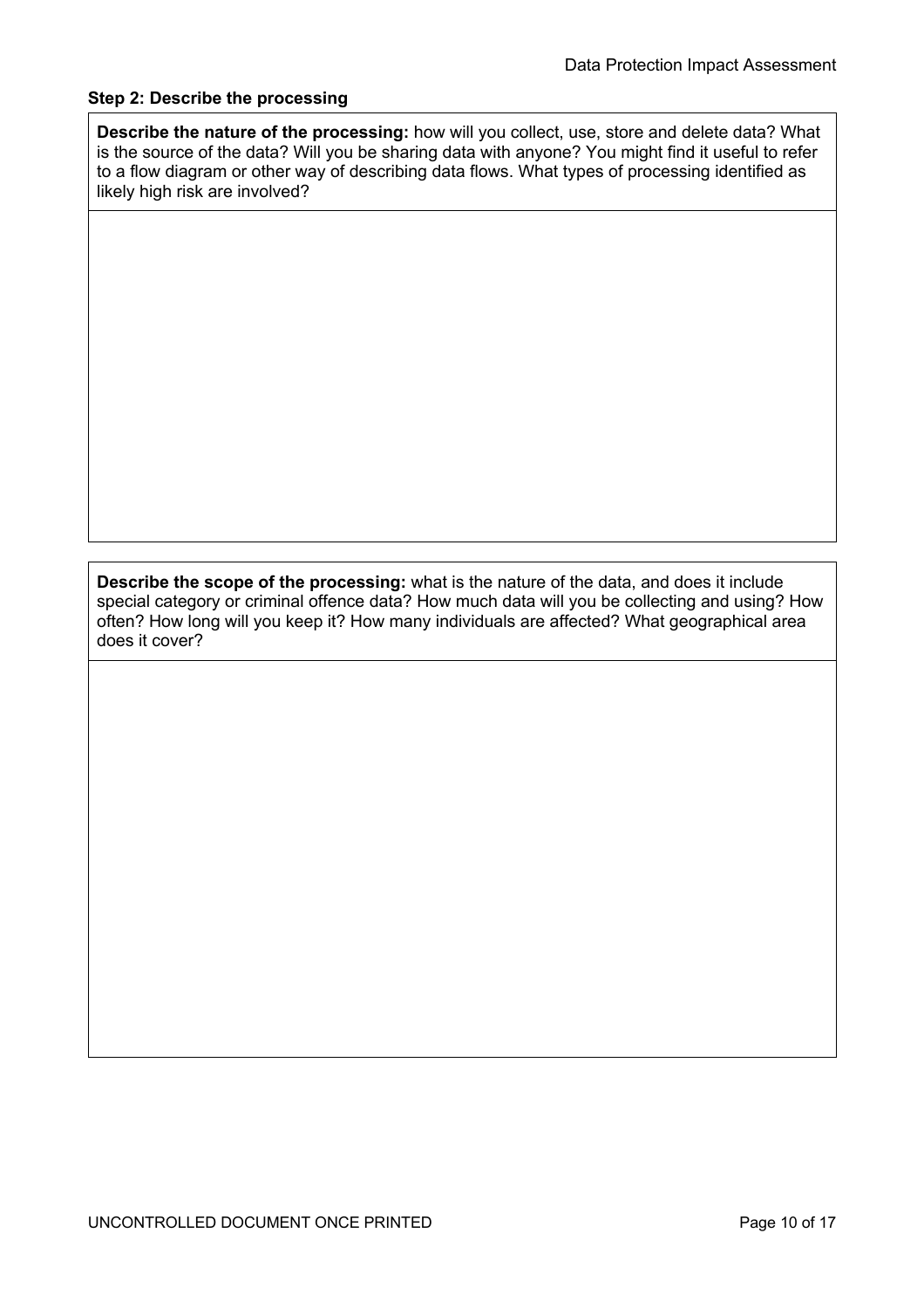# **Step 2: Describe the processing**

**Describe the nature of the processing:** how will you collect, use, store and delete data? What is the source of the data? Will you be sharing data with anyone? You might find it useful to refer to a flow diagram or other way of describing data flows. What types of processing identified as likely high risk are involved?

**Describe the scope of the processing:** what is the nature of the data, and does it include special category or criminal offence data? How much data will you be collecting and using? How often? How long will you keep it? How many individuals are affected? What geographical area does it cover?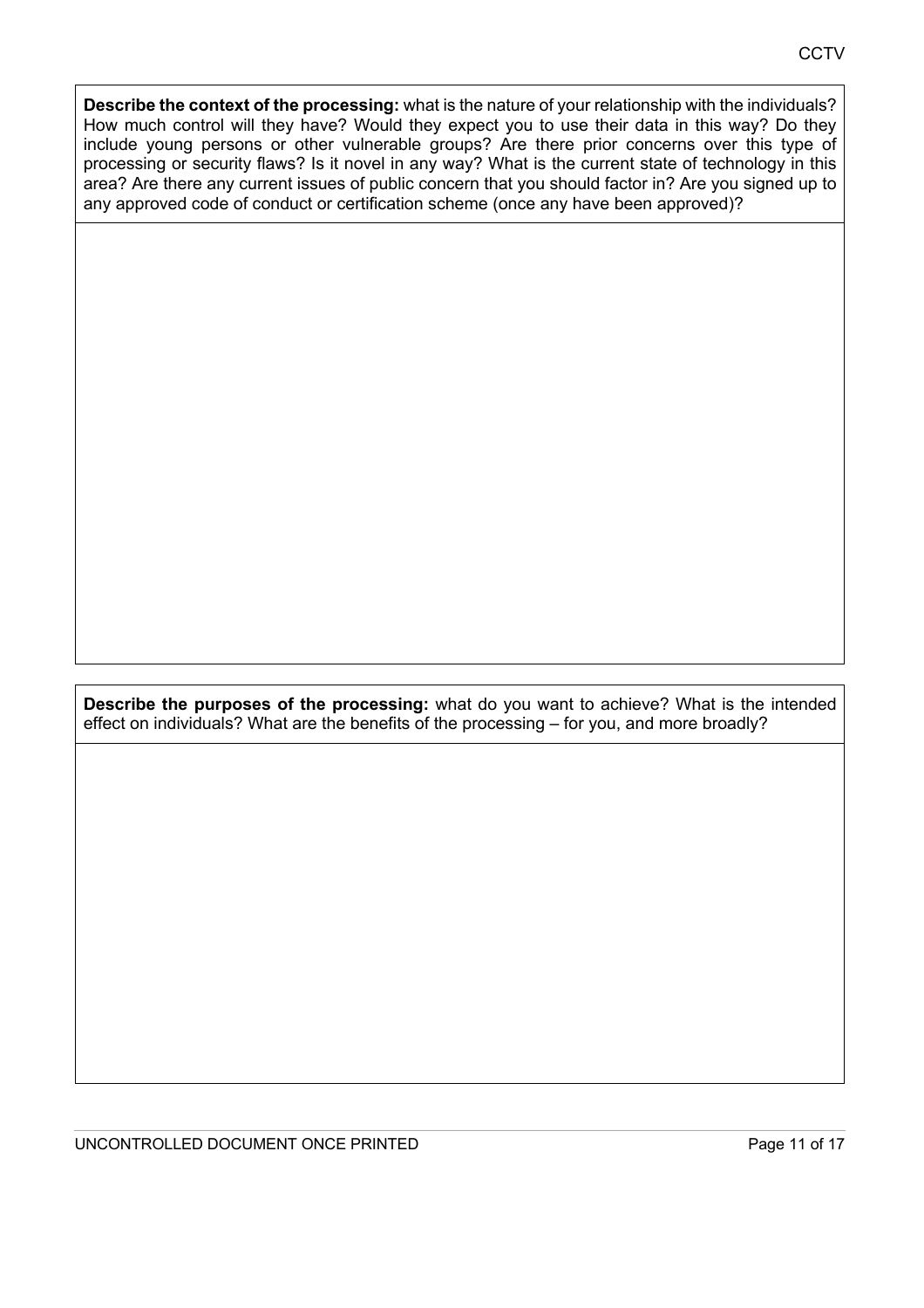**Describe the context of the processing:** what is the nature of your relationship with the individuals? How much control will they have? Would they expect you to use their data in this way? Do they include young persons or other vulnerable groups? Are there prior concerns over this type of processing or security flaws? Is it novel in any way? What is the current state of technology in this area? Are there any current issues of public concern that you should factor in? Are you signed up to any approved code of conduct or certification scheme (once any have been approved)?

**Describe the purposes of the processing:** what do you want to achieve? What is the intended effect on individuals? What are the benefits of the processing – for you, and more broadly?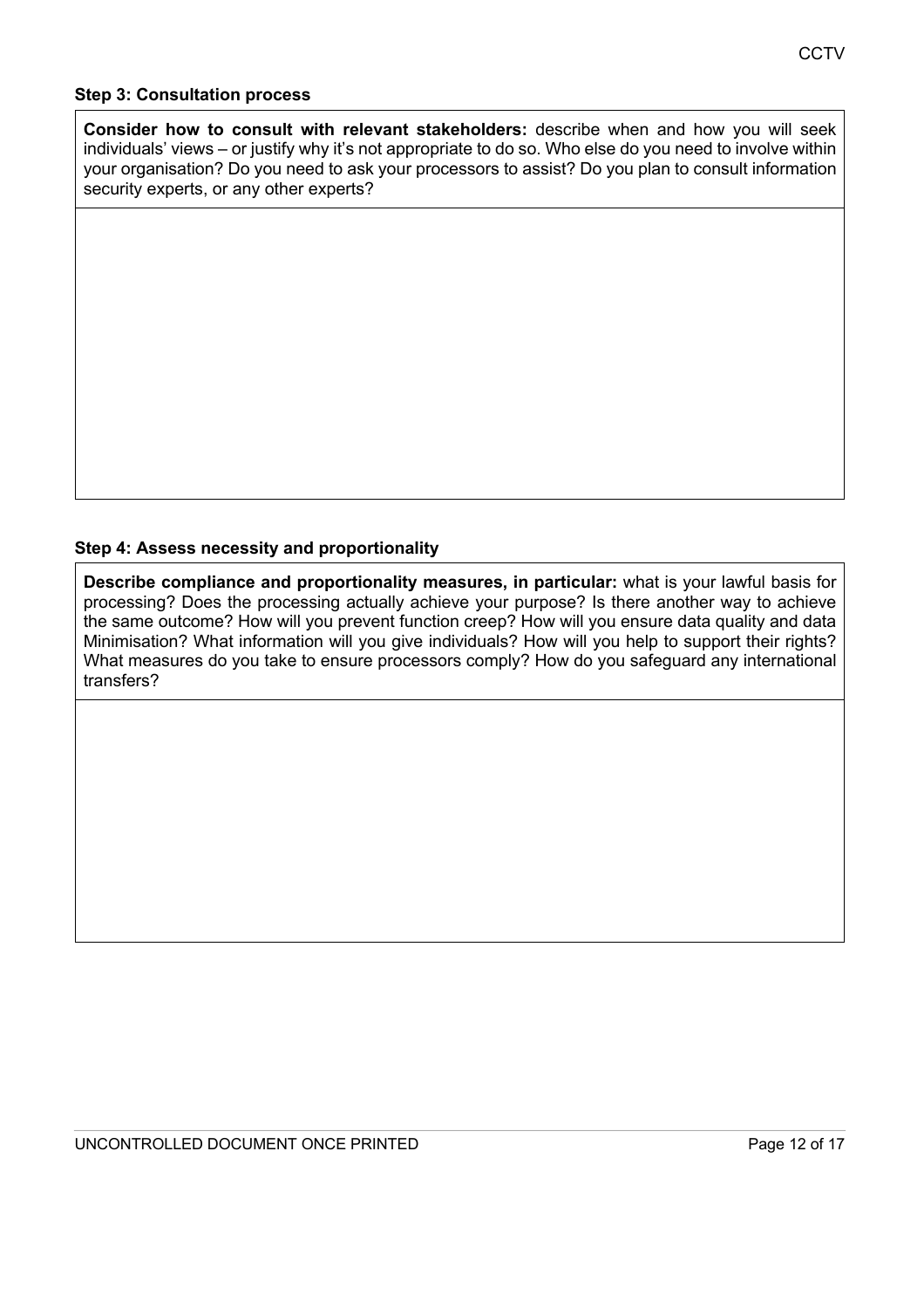## **Step 3: Consultation process**

**Consider how to consult with relevant stakeholders:** describe when and how you will seek individuals' views – or justify why it's not appropriate to do so. Who else do you need to involve within your organisation? Do you need to ask your processors to assist? Do you plan to consult information security experts, or any other experts?

# **Step 4: Assess necessity and proportionality**

**Describe compliance and proportionality measures, in particular:** what is your lawful basis for processing? Does the processing actually achieve your purpose? Is there another way to achieve the same outcome? How will you prevent function creep? How will you ensure data quality and data Minimisation? What information will you give individuals? How will you help to support their rights? What measures do you take to ensure processors comply? How do you safeguard any international transfers?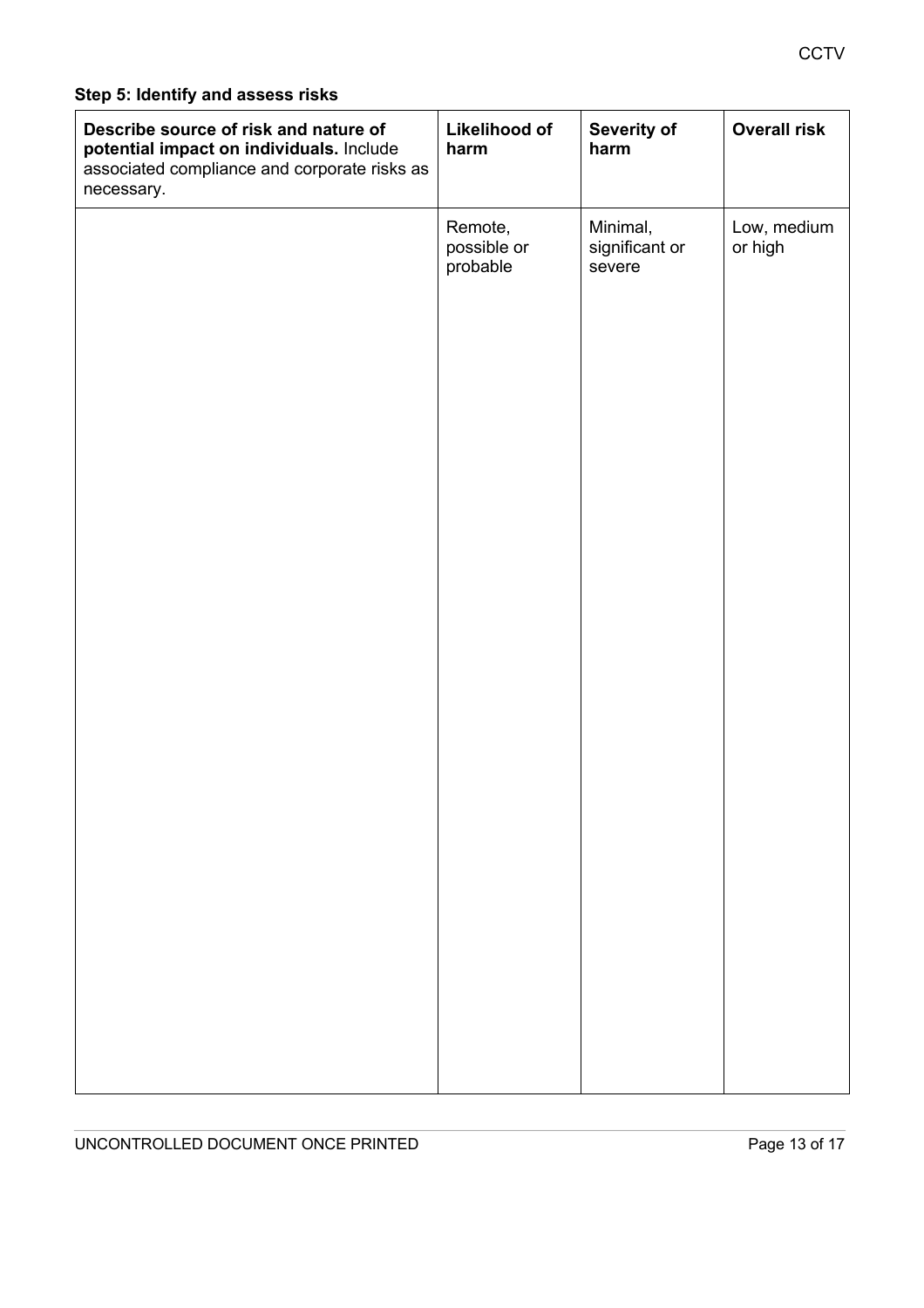# **Step 5: Identify and assess risks**

| Describe source of risk and nature of<br>potential impact on individuals. Include<br>associated compliance and corporate risks as<br>necessary. | Likelihood of<br>harm              | Severity of<br>harm                  | <b>Overall risk</b>    |
|-------------------------------------------------------------------------------------------------------------------------------------------------|------------------------------------|--------------------------------------|------------------------|
|                                                                                                                                                 | Remote,<br>possible or<br>probable | Minimal,<br>significant or<br>severe | Low, medium<br>or high |
|                                                                                                                                                 |                                    |                                      |                        |
|                                                                                                                                                 |                                    |                                      |                        |
|                                                                                                                                                 |                                    |                                      |                        |
|                                                                                                                                                 |                                    |                                      |                        |
|                                                                                                                                                 |                                    |                                      |                        |
|                                                                                                                                                 |                                    |                                      |                        |
|                                                                                                                                                 |                                    |                                      |                        |
|                                                                                                                                                 |                                    |                                      |                        |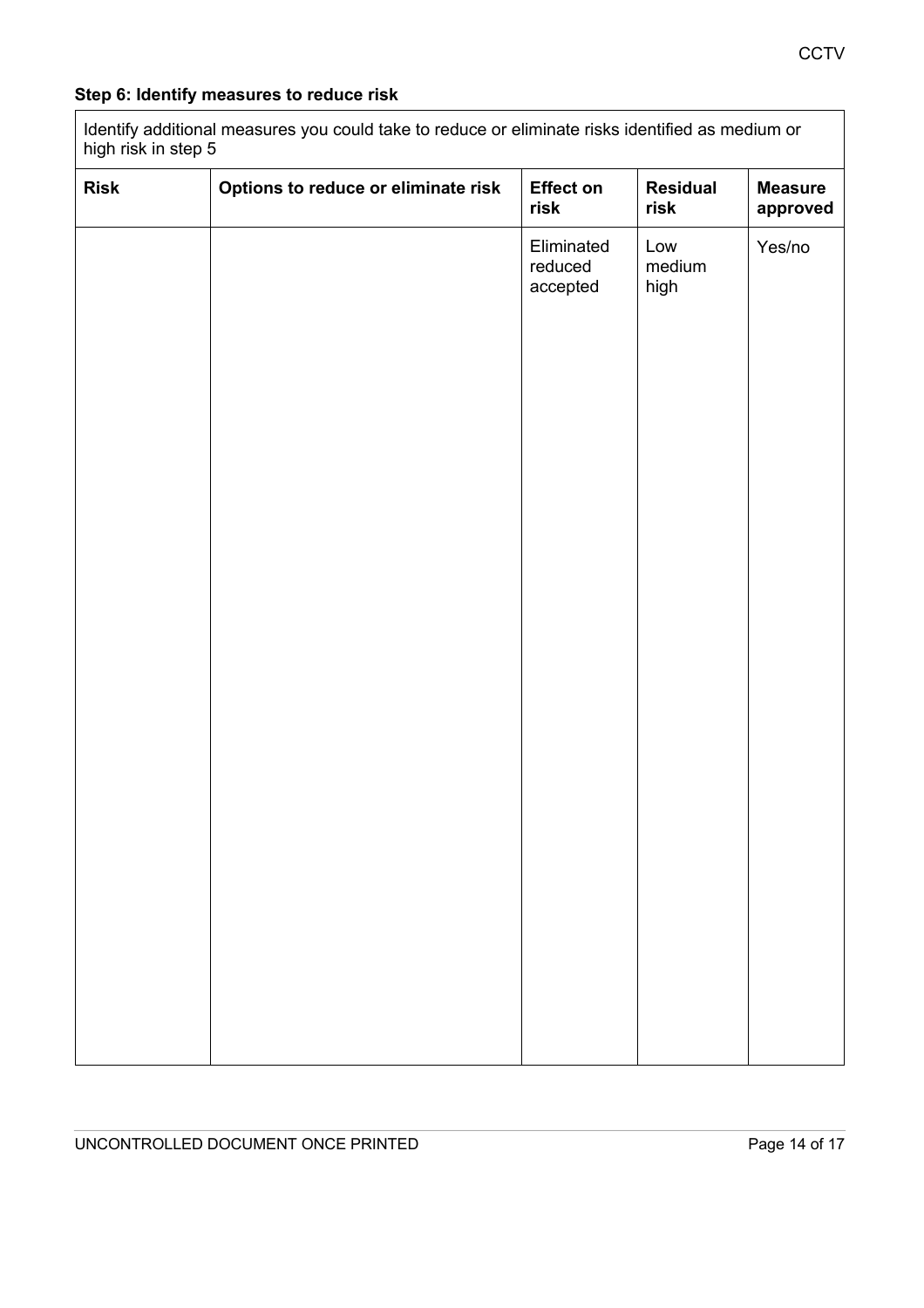# **Step 6: Identify measures to reduce risk**

Identify additional measures you could take to reduce or eliminate risks identified as medium or high risk in step 5

| <b>Risk</b> | Options to reduce or eliminate risk | <b>Effect on</b><br>risk          | <b>Residual</b><br>risk | <b>Measure</b><br>approved |
|-------------|-------------------------------------|-----------------------------------|-------------------------|----------------------------|
|             |                                     | Eliminated<br>reduced<br>accepted | Low<br>medium<br>high   | Yes/no                     |
|             |                                     |                                   |                         |                            |
|             |                                     |                                   |                         |                            |
|             |                                     |                                   |                         |                            |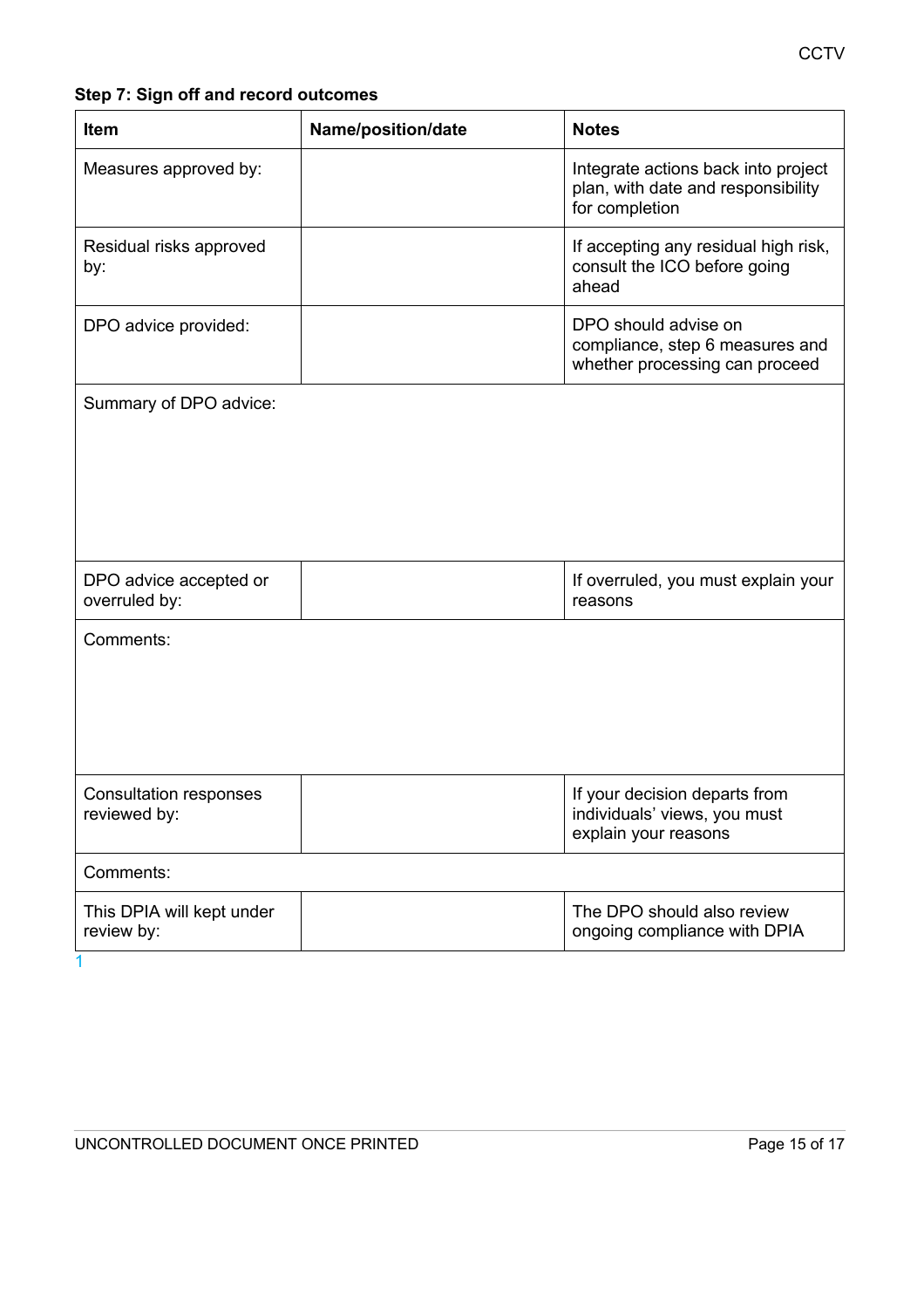**CCTV** 

# **Step 7: Sign off and record outcomes**

| <b>Item</b>                                   | Name/position/date | <b>Notes</b>                                                                                |
|-----------------------------------------------|--------------------|---------------------------------------------------------------------------------------------|
| Measures approved by:                         |                    | Integrate actions back into project<br>plan, with date and responsibility<br>for completion |
| Residual risks approved<br>by:                |                    | If accepting any residual high risk,<br>consult the ICO before going<br>ahead               |
| DPO advice provided:                          |                    | DPO should advise on<br>compliance, step 6 measures and<br>whether processing can proceed   |
| Summary of DPO advice:                        |                    |                                                                                             |
|                                               |                    |                                                                                             |
|                                               |                    |                                                                                             |
|                                               |                    |                                                                                             |
| DPO advice accepted or<br>overruled by:       |                    | If overruled, you must explain your<br>reasons                                              |
| Comments:                                     |                    |                                                                                             |
|                                               |                    |                                                                                             |
|                                               |                    |                                                                                             |
|                                               |                    |                                                                                             |
| <b>Consultation responses</b><br>reviewed by: |                    | If your decision departs from<br>individuals' views, you must<br>explain your reasons       |
| Comments:                                     |                    |                                                                                             |
| This DPIA will kept under<br>review by:       |                    | The DPO should also review<br>ongoing compliance with DPIA                                  |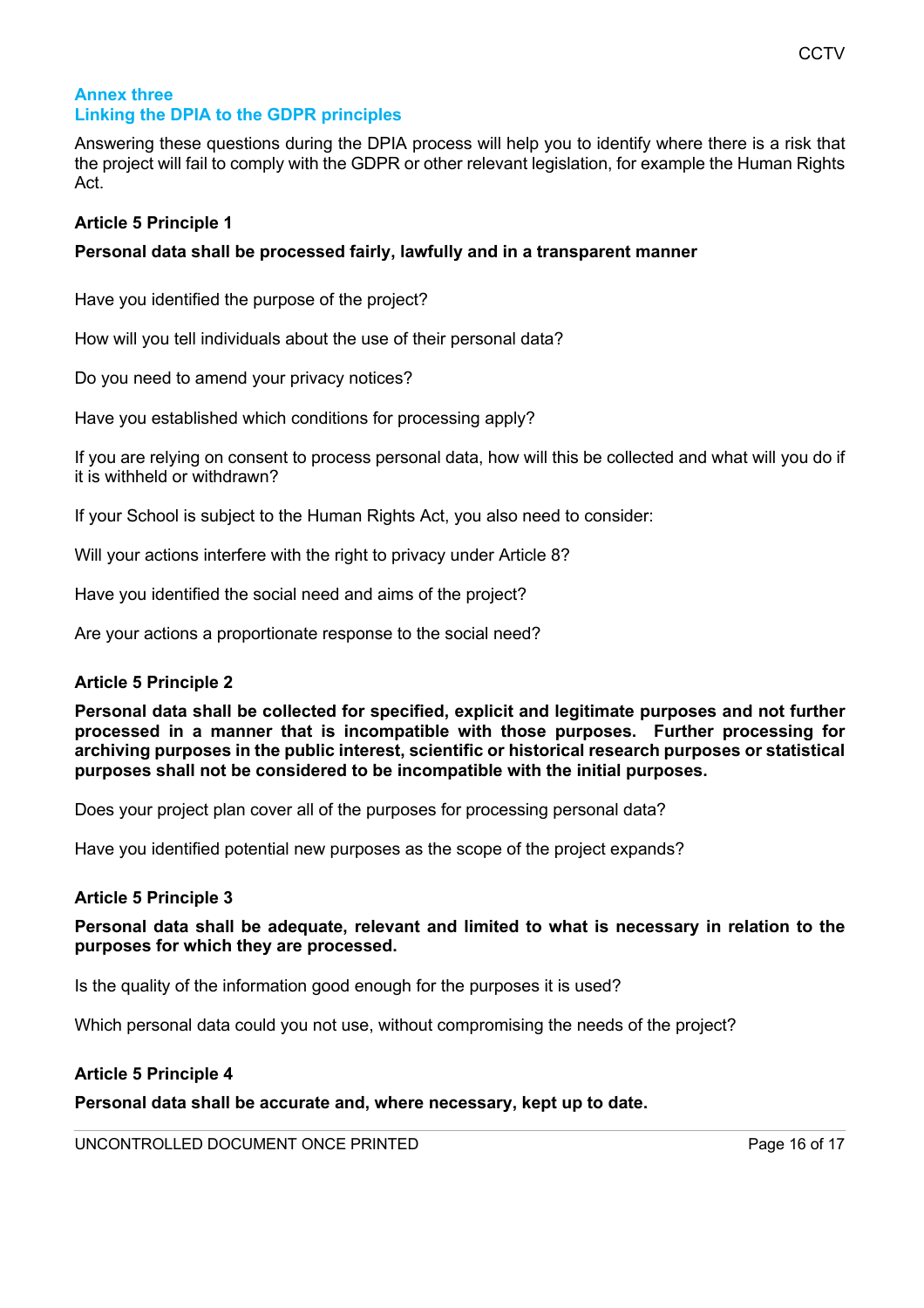# **Annex three Linking the DPIA to the GDPR principles**

Answering these questions during the DPIA process will help you to identify where there is a risk that the project will fail to comply with the GDPR or other relevant legislation, for example the Human Rights Act.

# **Article 5 Principle 1**

# **Personal data shall be processed fairly, lawfully and in a transparent manner**

Have you identified the purpose of the project?

How will you tell individuals about the use of their personal data?

Do you need to amend your privacy notices?

Have you established which conditions for processing apply?

If you are relying on consent to process personal data, how will this be collected and what will you do if it is withheld or withdrawn?

If your School is subject to the Human Rights Act, you also need to consider:

Will your actions interfere with the right to privacy under Article 8?

Have you identified the social need and aims of the project?

Are your actions a proportionate response to the social need?

# **Article 5 Principle 2**

**Personal data shall be collected for specified, explicit and legitimate purposes and not further processed in a manner that is incompatible with those purposes. Further processing for archiving purposes in the public interest, scientific or historical research purposes or statistical purposes shall not be considered to be incompatible with the initial purposes.**

Does your project plan cover all of the purposes for processing personal data?

Have you identified potential new purposes as the scope of the project expands?

# **Article 5 Principle 3**

# **Personal data shall be adequate, relevant and limited to what is necessary in relation to the purposes for which they are processed.**

Is the quality of the information good enough for the purposes it is used?

Which personal data could you not use, without compromising the needs of the project?

# **Article 5 Principle 4**

**Personal data shall be accurate and, where necessary, kept up to date.**

UNCONTROLLED DOCUMENT ONCE PRINTED **Figure 10 and 20 years and 20 years of 17** and 20 years and 20 years and 20 years and 20 years and 20 years and 20 years and 20 years and 20 years and 20 years and 20 years and 20 years